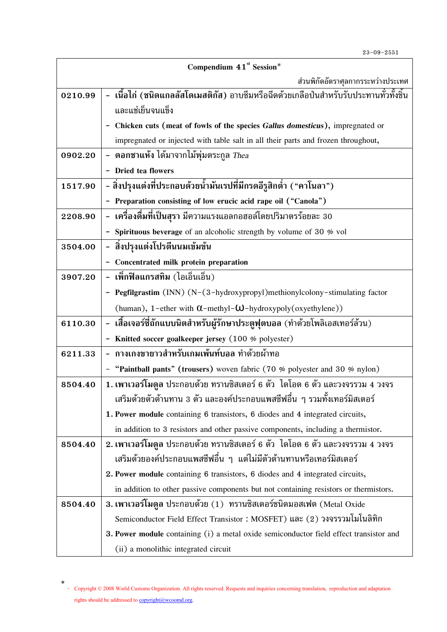| Compendium $41^{st}$ Session*      |                                                                                        |
|------------------------------------|----------------------------------------------------------------------------------------|
| ส่วนพิกัดอัตราศุลกากรระหว่างประเทศ |                                                                                        |
| 0210.99                            | - เนื้อไก่ (ชนิดแกลลัสโดเมสติกัส) อาบซึมหรือฉีดด้วยเกลือป่นสำหรับรับประทานทั่วทั้งชิ้น |
|                                    | และแช่เย็นจนแข็ง                                                                       |
|                                    | Chicken cuts (meat of fowls of the species Gallus domesticus), impregnated or          |
|                                    | impregnated or injected with table salt in all their parts and frozen throughout,      |
| 0902.20                            | - ดอกชาแห้ง ได้มาจากไม้พุ่มตระกูล <i>Thea</i>                                          |
|                                    | - Dried tea flowers                                                                    |
| 1517.90                            | - สิ่งปรุงแต่งที่ประกอบด้วยน้ำมันเรปที่มีกรดอีรูสิกต่ำ ("คาโนลา")                      |
|                                    | - Preparation consisting of low erucic acid rape oil ("Canola")                        |
| 2208.90                            | -  เครื่องดื่มที่เป็นสุรา มีความแรงแอลกอฮอล์โดยปริมาตรร้อยละ 30                        |
|                                    | Spirituous beverage of an alcoholic strength by volume of 30 % vol                     |
| 3504.00                            | - สิ่งปรุงแต่งโปรตีนนมเข้มข้น                                                          |
|                                    | Concentrated milk protein preparation                                                  |
| 3907.20                            | - เพ็กฟิลแกรสทิม (ไอเอ็นเอ็น)                                                          |
|                                    | Pegfilgrastim (INN) (N-(3-hydroxypropyl)methionylcolony-stimulating factor             |
|                                    | (human), 1-ether with $\alpha$ -methyl- $\omega$ -hydroxypoly(oxyethylene))            |
| 6110.30                            | - เสื้อเจอร์ซี่ถักแบบนิตสำหรับผู้รักษาประตูฟุตบอล (ทำด้วยโพลิเอสเทอร์ล้วน)             |
|                                    | - Knitted soccer goalkeeper jersey (100 % polyester)                                   |
| 6211.33                            | - กางเกงขายาวสำหรับเกมเพ้นท์บอล ทำด้วยผ้าทอ                                            |
|                                    | "Paintball pants" (trousers) woven fabric (70 % polyester and 30 % nylon)              |
| 8504.40                            | 1. เพาเวอร์โมดูล ประกอบด้วย ทรานซิสเตอร์ 6 ตัว  ไดโอด 6 ตัว และวงจรรวม 4 วงจร          |
|                                    | เสริมด้วยตัวต้านทาน 3 ตัว และองค์ประกอบแพสซีฟอื่น ๆ รวมทั้งเทอร์มิสเตอร์               |
|                                    | 1. Power module containing 6 transistors, 6 diodes and 4 integrated circuits,          |
|                                    | in addition to 3 resistors and other passive components, including a thermistor.       |
| 8504.40                            | 2. เพาเวอร์โมดูล ประกอบด้วย ทรานซิสเตอร์ 6 ตัว  ไดโอด 6 ตัว และวงจรรวม 4 วงจร          |
|                                    | เสริมด้วยองค์ประกอบแพสซีฟอื่น ๆ แต่ไม่มีตัวต้านทานหรือเทอร์มิสเตอร์                    |
|                                    | 2. Power module containing 6 transistors, 6 diodes and 4 integrated circuits,          |
|                                    | in addition to other passive components but not containing resistors or thermistors.   |
| 8504.40                            | 3. เพาเวอร์โมดูล ประกอบด้วย (1) ทรานซิสเตอร์ชนิดมอสเฟต (Metal Oxide                    |
|                                    | Semiconductor Field Effect Transistor: MOSFET) และ (2) วงจรรวมโมโนลิทิก                |
|                                    | 3. Power module containing (i) a metal oxide semiconductor field effect transistor and |
|                                    | (ii) a monolithic integrated circuit                                                   |

\* Copyright © 2008 World Customs Organization. All rights reserved. Requests and inquiries concerning translation, reproduction and adaptation rights should be addressed to copyright@wcoomd.org.